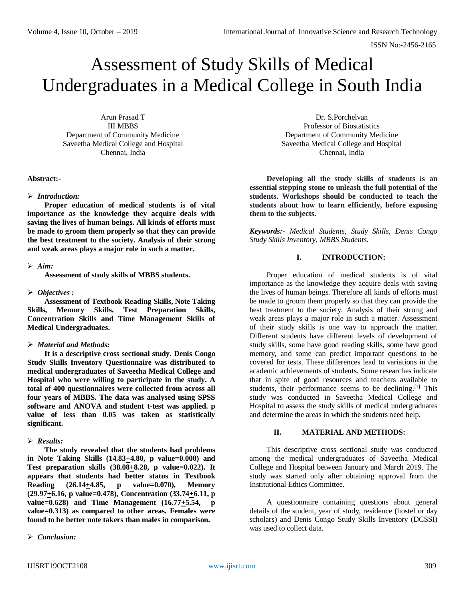# Assessment of Study Skills of Medical Undergraduates in a Medical College in South India

Arun Prasad T III MBBS Department of Community Medicine Saveetha Medical College and Hospital Chennai, India

#### **Abstract:-**

## *Introduction:*

**Proper education of medical students is of vital importance as the knowledge they acquire deals with saving the lives of human beings. All kinds of efforts must be made to groom them properly so that they can provide the best treatment to the society. Analysis of their strong and weak areas plays a major role in such a matter.**

## $\triangleright$  Aim:

**Assessment of study skills of MBBS students.**

## *Objectives :*

**Assessment of Textbook Reading Skills, Note Taking Skills, Memory Skills, Test Preparation Skills, Concentration Skills and Time Management Skills of Medical Undergraduates.**

## *Material and Methods:*

**It is a descriptive cross sectional study. Denis Congo Study Skills Inventory Questionnaire was distributed to medical undergraduates of Saveetha Medical College and Hospital who were willing to participate in the study. A total of 400 questionnaires were collected from across all four years of MBBS. The data was analysed using SPSS software and ANOVA and student t-test was applied. p value of less than 0.05 was taken as statistically significant.** 

## *Results:*

**The study revealed that the students had problems in Note Taking Skills (14.83+4.80, p value=0.000) and Test preparation skills (38.08+8.28, p value=0.022). It appears that students had better status in Textbook Reading (26.14+4.85, p value=0.070), Memory (29.97+6.16, p value=0.478), Concentration (33.74+6.11, p**  value=0.628) and Time Management (16.77 $\pm$ 5.54, p **value=0.313) as compared to other areas. Females were found to be better note takers than males in comparison.**

#### *Conclusion:*

Dr. S.Porchelvan Professor of Biostatistics Department of Community Medicine Saveetha Medical College and Hospital Chennai, India

**Developing all the study skills of students is an essential stepping stone to unleash the full potential of the students. Workshops should be conducted to teach the students about how to learn efficiently, before exposing them to the subjects.**

*Keywords:- Medical Students, Study Skills, Denis Congo Study Skills Inventory, MBBS Students.*

# **I. INTRODUCTION:**

Proper education of medical students is of vital importance as the knowledge they acquire deals with saving the lives of human beings. Therefore all kinds of efforts must be made to groom them properly so that they can provide the best treatment to the society. Analysis of their strong and weak areas plays a major role in such a matter. Assessment of their study skills is one way to approach the matter. Different students have different levels of development of study skills, some have good reading skills, some have good memory, and some can predict important questions to be covered for tests. These differences lead to variations in the academic achievements of students. Some researches indicate that in spite of good resources and teachers available to students, their performance seems to be declining.<sup>[1]</sup> This study was conducted in Saveetha Medical College and Hospital to assess the study skills of medical undergraduates and determine the areas in which the students need help.

## **II. MATERIAL AND METHODS:**

This descriptive cross sectional study was conducted among the medical undergraduates of Saveetha Medical College and Hospital between January and March 2019. The study was started only after obtaining approval from the Institutional Ethics Committee.

A questionnaire containing questions about general details of the student, year of study, residence (hostel or day scholars) and Denis Congo Study Skills Inventory (DCSSI) was used to collect data.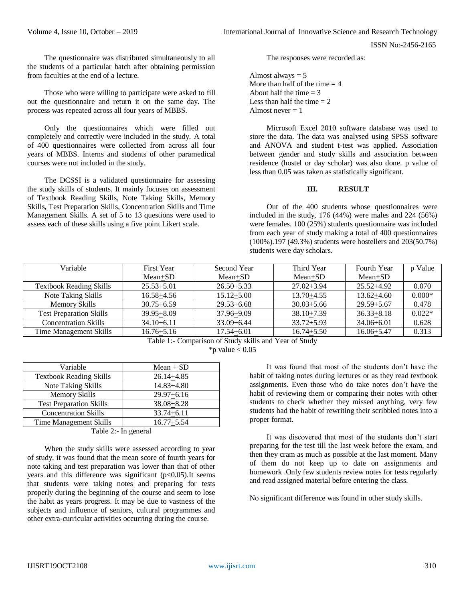ISSN No:-2456-2165

The questionnaire was distributed simultaneously to all the students of a particular batch after obtaining permission from faculties at the end of a lecture.

Those who were willing to participate were asked to fill out the questionnaire and return it on the same day. The process was repeated across all four years of MBBS.

Only the questionnaires which were filled out completely and correctly were included in the study. A total of 400 questionnaires were collected from across all four years of MBBS. Interns and students of other paramedical courses were not included in the study.

The DCSSI is a validated questionnaire for assessing the study skills of students. It mainly focuses on assessment of Textbook Reading Skills, Note Taking Skills, Memory Skills, Test Preparation Skills, Concentration Skills and Time Management Skills. A set of 5 to 13 questions were used to assess each of these skills using a five point Likert scale.

The responses were recorded as:

Almost always  $= 5$ More than half of the time  $= 4$ About half the time  $= 3$ Less than half the time  $= 2$ Almost never  $= 1$ 

Microsoft Excel 2010 software database was used to store the data. The data was analysed using SPSS software and ANOVA and student t-test was applied. Association between gender and study skills and association between residence (hostel or day scholar) was also done. p value of less than 0.05 was taken as statistically significant.

#### **III. RESULT**

Out of the 400 students whose questionnaires were included in the study, 176 (44%) were males and 224 (56%) were females. 100 (25%) students questionnaire was included from each year of study making a total of 400 questionnaires (100%).197 (49.3%) students were hostellers and 203(50.7%) students were day scholars.

| Variable                       | <b>First Year</b> | Second Year    | Third Year     | Fourth Year    | p Value  |
|--------------------------------|-------------------|----------------|----------------|----------------|----------|
|                                | $Mean+SD$         | $Mean+SD$      | $Mean+SD$      | Mean+SD        |          |
| <b>Textbook Reading Skills</b> | $25.53 + 5.01$    | $26.50 + 5.33$ | $27.02 + 3.94$ | $25.52 + 4.92$ | 0.070    |
| Note Taking Skills             | $16.58 + 4.56$    | $15.12 + 5.00$ | $13.70 + 4.55$ | $13.62 + 4.60$ | $0.000*$ |
| <b>Memory Skills</b>           | $30.75 + 6.59$    | $29.53 + 6.68$ | $30.03 + 5.66$ | $29.59 + 5.67$ | 0.478    |
| <b>Test Preparation Skills</b> | $39.95 + 8.09$    | $37.96 + 9.09$ | $38.10 + 7.39$ | $36.33 + 8.18$ | $0.022*$ |
| <b>Concentration Skills</b>    | $34.10 + 6.11$    | $33.09 + 6.44$ | $33.72 + 5.93$ | $34.06 + 6.01$ | 0.628    |
| Time Management Skills         | $16.76 + 5.16$    | $17.54 + 6.01$ | $16.74 + 5.50$ | $16.06 + 5.47$ | 0.313    |

Table 1:- Comparison of Study skills and Year of Study  $*$ p value  $< 0.05$ 

| Variable                       | Mean $\pm$ SD  |  |  |
|--------------------------------|----------------|--|--|
| <b>Textbook Reading Skills</b> | $26.14 + 4.85$ |  |  |
| Note Taking Skills             | $14.83 + 4.80$ |  |  |
| Memory Skills                  | $29.97 + 6.16$ |  |  |
| <b>Test Preparation Skills</b> | $38.08 + 8.28$ |  |  |
| <b>Concentration Skills</b>    | $33.74 + 6.11$ |  |  |
| Time Management Skills         | $16.77 + 5.54$ |  |  |

Table 2:- In general

When the study skills were assessed according to year of study, it was found that the mean score of fourth years for note taking and test preparation was lower than that of other years and this difference was significant  $(p<0.05)$ . It seems that students were taking notes and preparing for tests properly during the beginning of the course and seem to lose the habit as years progress. It may be due to vastness of the subjects and influence of seniors, cultural programmes and other extra-curricular activities occurring during the course.

It was found that most of the students don't have the habit of taking notes during lectures or as they read textbook assignments. Even those who do take notes don't have the habit of reviewing them or comparing their notes with other students to check whether they missed anything, very few students had the habit of rewriting their scribbled notes into a proper format.

It was discovered that most of the students don't start preparing for the test till the last week before the exam, and then they cram as much as possible at the last moment. Many of them do not keep up to date on assignments and homework .Only few students review notes for tests regularly and read assigned material before entering the class.

No significant difference was found in other study skills.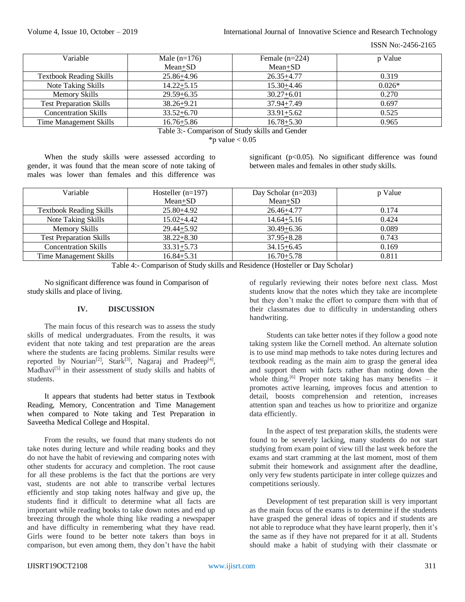ISSN No:-2456-2165

| Variable                       | Male $(n=176)$ | Female $(n=224)$ | p Value  |
|--------------------------------|----------------|------------------|----------|
|                                | Mean+SD        | $Mean+SD$        |          |
| <b>Textbook Reading Skills</b> | 25.86+4.96     | $26.35 + 4.77$   | 0.319    |
| Note Taking Skills             | $14.22 + 5.15$ | $15.30 + 4.46$   | $0.026*$ |
| <b>Memory Skills</b>           | $29.59 + 6.35$ | $30.27 + 6.01$   | 0.270    |
| <b>Test Preparation Skills</b> | $38.26 + 9.21$ | $37.94 + 7.49$   | 0.697    |
| <b>Concentration Skills</b>    | $33.52 + 6.70$ | $33.91 + 5.62$   | 0.525    |
| Time Management Skills         | $16.76 + 5.86$ | $16.78 + 5.30$   | 0.965    |

Table 3:- Comparison of Study skills and Gender \*p value  $< 0.05$ 

When the study skills were assessed according to gender, it was found that the mean score of note taking of males was lower than females and this difference was significant ( $p<0.05$ ). No significant difference was found between males and females in other study skills.

| Hosteller $(n=197)$ | Day Scholar $(n=203)$ | p Value |
|---------------------|-----------------------|---------|
| $Mean + SD$         | $Mean + SD$           |         |
| 25.80+4.92          | 26.46+4.77            | 0.174   |
| $15.02 + 4.42$      | $14.64 + 5.16$        | 0.424   |
| $29.44 + 5.92$      | $30.49 + 6.36$        | 0.089   |
| $38.22 + 8.30$      | $37.95 + 8.28$        | 0.743   |
| $33.31 + 5.73$      | $34.15 + 6.45$        | 0.169   |
| $16.84 + 5.31$      | $16.70 + 5.78$        | 0.811   |
|                     |                       |         |

Table 4:- Comparison of Study skills and Residence (Hosteller or Day Scholar)

No significant difference was found in Comparison of study skills and place of living.

## **IV. DISCUSSION**

The main focus of this research was to assess the study skills of medical undergraduates. From the results, it was evident that note taking and test preparation are the areas where the students are facing problems. Similar results were reported by Nourian<sup>[2]</sup>, Stark<sup>[3]</sup>, Nagaraj and Pradeep<sup>[4]</sup>, Madhavi<sup>[5]</sup> in their assessment of study skills and habits of students.

It appears that students had better status in Textbook Reading, Memory, Concentration and Time Management when compared to Note taking and Test Preparation in Saveetha Medical College and Hospital.

From the results, we found that many students do not take notes during lecture and while reading books and they do not have the habit of reviewing and comparing notes with other students for accuracy and completion. The root cause for all these problems is the fact that the portions are very vast, students are not able to transcribe verbal lectures efficiently and stop taking notes halfway and give up, the students find it difficult to determine what all facts are important while reading books to take down notes and end up breezing through the whole thing like reading a newspaper and have difficulty in remembering what they have read. Girls were found to be better note takers than boys in comparison, but even among them, they don't have the habit of regularly reviewing their notes before next class. Most students know that the notes which they take are incomplete but they don't make the effort to compare them with that of their classmates due to difficulty in understanding others handwriting.

Students can take better notes if they follow a good note taking system like the Cornell method. An alternate solution is to use mind map methods to take notes during lectures and textbook reading as the main aim to grasp the general idea and support them with facts rather than noting down the whole thing.<sup>[6]</sup> Proper note taking has many benefits – it promotes active learning, improves focus and attention to detail, boosts comprehension and retention, increases attention span and teaches us how to prioritize and organize data efficiently.

In the aspect of test preparation skills, the students were found to be severely lacking, many students do not start studying from exam point of view till the last week before the exams and start cramming at the last moment, most of them submit their homework and assignment after the deadline, only very few students participate in inter college quizzes and competitions seriously.

Development of test preparation skill is very important as the main focus of the exams is to determine if the students have grasped the general ideas of topics and if students are not able to reproduce what they have learnt properly, then it's the same as if they have not prepared for it at all. Students should make a habit of studying with their classmate or